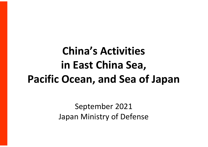# **China's Activities in East China Sea, Pacific Ocean, and Sea of Japan**

September 2021 Japan Ministry of Defense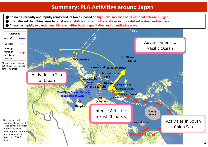### **Summary: PLA Activities around Japan**

● China has broadly and rapidly reinforced its forces, based on high-level increase of its national defense budget It is believed that China aims to build up capabilities to conduct operations in more distant waters and airspace ● **China has rapidly expanded maritime activities both in qualitative and quantitative ways**

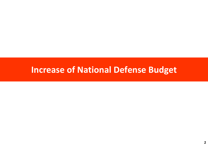# **Increase of National Defense Budget**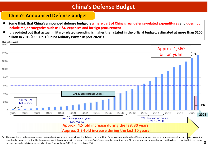#### **China's Defense Budget**

#### **China's Announced Defense budget**

- Some think that China's announced defense budget is a mere part of China's real defense-related expenditures and does not **include major categories such as R&D expenses and foreign procurement**
- It is pointed out that actual military-related spending is higher than stated in the official budget, estimated at more than \$200 **billion in 2019**(**U.S. DoD "China Military Power Report 2020"**)**.**



implement are limits to the comparisons of national defense budgets which have simply been converted into foreign currency when the different elements are taken into consideration, such a variancy sech country's price levels. However, to simplify the comparison, this graph dares to represent the Japan's defense-related expenditures and China's announced defense budget that has been converted into yen using the exchange rate published by the Ministry of Finance Japan (MOFJ) each fiscal year (FY). **3**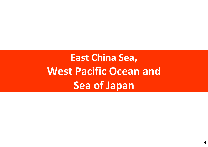# **East China Sea, West Pacific Ocean and Sea of Japan**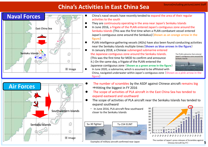# **China's Activities in East China Sea**



- China's naval vessels have recently tended to expand the area of their regular activities to the south
- They are continuously operating in the area near Japan's Senkaku Islands
- In June 2016, a frigate of the PLAN entered Japan's contiguous zone around the Senkaku Islands (This was the first time when a PLAN combatant vessel entered Japan's contiguous zone around the Senkakus)(**Shown as an orange arrow in the figure**)
- PLAN intelligence gathering vessels (AGIs) have also been found conducting activities near the Senkaku Islands multiple times(**Shown as blue arrows in the figure**)
- In January 2018, a Chinese submerged submarine entered the Japanese contiguous zone around the Senkaku Islands. (This was the first time for MOD to confirm and announce it.) On the same day, a frigate of the PLAN entered the Japanese contiguous zone (**Shown as a green arrow in the figure**)





In June 2020, a submarine, which is assumed to be affiliated with China, navigated underwater within Japan's contiguous zone (**Shown as a pink arrow in the figure**)



- The number of scrambles by the ASDF against Chinese aircraft remains big ⇒Hitting the biggest in FY 2016
- The scope of activities of PLA aircraft in the East China Sea has tended to expand eastward and southward
- The scope of activities of PLA aircraft near the Senkaku Islands has tended to expand southward
- ・ In June 2016, PLA aircraft flew southward closer to the Senkaku Islands



Examples of military aircraft confirmed near Japan



The number of Japan's press releases of Scrambles against Chinese Aircraft(by FY)

**5**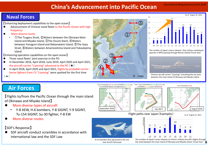## **China's Advancement into Pacific Ocean**

④

(\*)

#### **Naval Forces**

【Enhancing deployment capabilities to the open ocean】

- Advancement of Chinese naval fleets to the Pacific Ocean with high  $\bullet$ frequency
- More diverse routes
	- ①The Tsugaru Strait, ②Waters between the Okinawa Main Island and Miyako Island, ③The Osumi Starit, ④Waters between Yonaguni Island and Nakanokami Island, ⑤The Soya Strait, ⑥Waters between Amamioshima Island and Yokoatejima Island

【Enhancing operation capabilities on the open ocean】

- Three naval fleets' joint exercise in the PO  $\bullet$
- In December 2016, April 2018, June 2019, April 2020 and April 2021,  $\bullet$ the aircraft carrier "Liaoning" advanced to the PO  $(\bigstar)$
- In April 2018, April 2020 and April 2021, flights by probable carrierborne fighters from CV "Liaoning" were spotted for the first time





The number of Japan's press releases that surface combatants operate in WPO passing through Nansei Islands(Fiscal Year)



Chinese aircraft carrier "Liaoning" transitting the sea area between the main island of Okinawa and Miyako Island

# **Air Forces**

(\*)

【Flights to/from the Pacific Ocean through the main island of Okinawa and Miyako Island】

- More diverse types of aircraft
	- Y-8 AEW, H-6 bombers, Y-8 SIGINT, Y-9 SIGINT, Tu-154 SIGINT, Su-30 fighter, Y-8 EW
- More diverse routes

#### 【SDF's Response】

SDF aircraft conduct scrambles in accordance with international law and the SDF Law



A H-6 bomber that advanced to the sea near the Kii Peninsula





Flight paths near Japan(Examples) 18 18





The number of Japan's press releases on China's military aircraft's flights through the strait between the main island of Okinawa and Miyako Island (Fiscal Year) **6**





 $\odot$  $\circ$ 



※ image